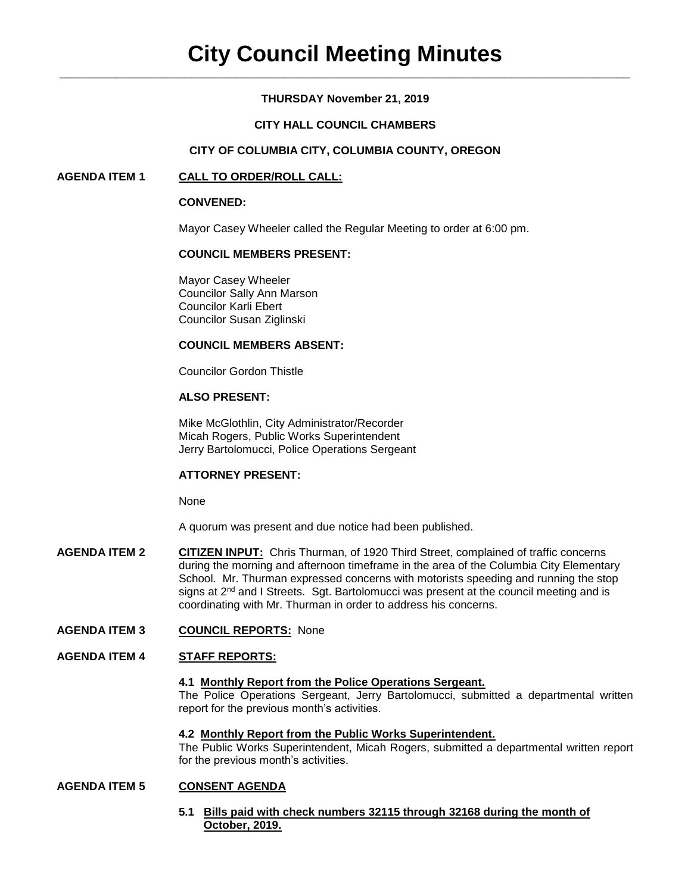# **THURSDAY November 21, 2019**

# **CITY HALL COUNCIL CHAMBERS**

# **CITY OF COLUMBIA CITY, COLUMBIA COUNTY, OREGON**

# **AGENDA ITEM 1 CALL TO ORDER/ROLL CALL:**

#### **CONVENED:**

Mayor Casey Wheeler called the Regular Meeting to order at 6:00 pm.

# **COUNCIL MEMBERS PRESENT:**

Mayor Casey Wheeler Councilor Sally Ann Marson Councilor Karli Ebert Councilor Susan Ziglinski

#### **COUNCIL MEMBERS ABSENT:**

Councilor Gordon Thistle

# **ALSO PRESENT:**

Mike McGlothlin, City Administrator/Recorder Micah Rogers, Public Works Superintendent Jerry Bartolomucci, Police Operations Sergeant

#### **ATTORNEY PRESENT:**

None

A quorum was present and due notice had been published.

**AGENDA ITEM 2 CITIZEN INPUT:** Chris Thurman, of 1920 Third Street, complained of traffic concerns during the morning and afternoon timeframe in the area of the Columbia City Elementary School. Mr. Thurman expressed concerns with motorists speeding and running the stop signs at  $2<sup>nd</sup>$  and I Streets. Sqt. Bartolomucci was present at the council meeting and is coordinating with Mr. Thurman in order to address his concerns.

#### **AGENDA ITEM 3 COUNCIL REPORTS:** None

#### **AGENDA ITEM 4 STAFF REPORTS:**

#### **4.1 Monthly Report from the Police Operations Sergeant.**

The Police Operations Sergeant, Jerry Bartolomucci, submitted a departmental written report for the previous month's activities.

#### **4.2 Monthly Report from the Public Works Superintendent.**

The Public Works Superintendent, Micah Rogers, submitted a departmental written report for the previous month's activities.

#### **AGENDA ITEM 5 CONSENT AGENDA**

**5.1 Bills paid with check numbers 32115 through 32168 during the month of October, 2019.**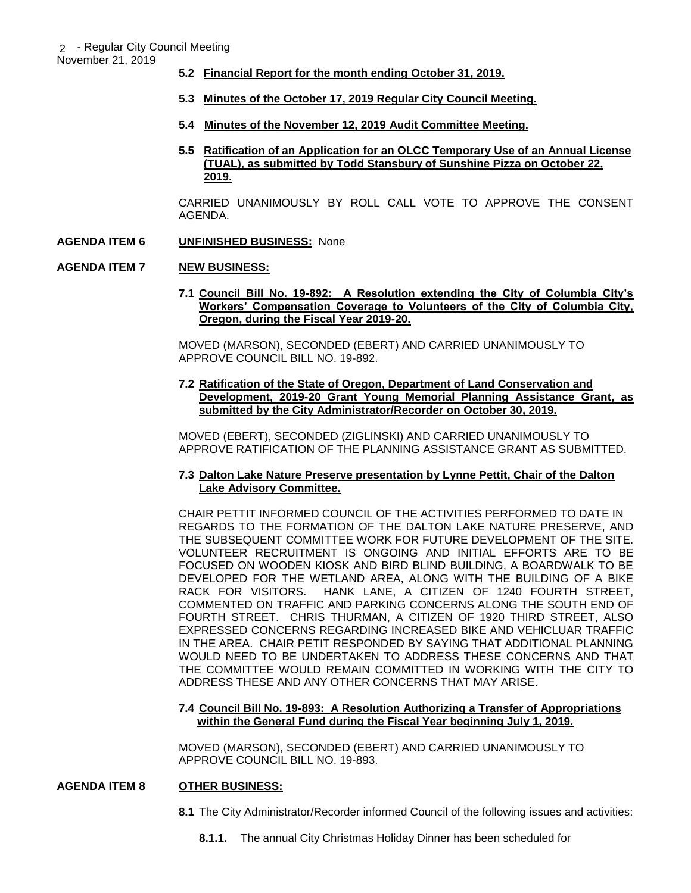November 21, 2019

- **5.2 Financial Report for the month ending October 31, 2019.**
- **5.3 Minutes of the October 17, 2019 Regular City Council Meeting.**
- **5.4 Minutes of the November 12, 2019 Audit Committee Meeting.**
- **5.5 Ratification of an Application for an OLCC Temporary Use of an Annual License (TUAL), as submitted by Todd Stansbury of Sunshine Pizza on October 22, 2019.**

CARRIED UNANIMOUSLY BY ROLL CALL VOTE TO APPROVE THE CONSENT AGENDA.

**AGENDA ITEM 6 UNFINISHED BUSINESS:** None

# **AGENDA ITEM 7 NEW BUSINESS:**

**7.1 Council Bill No. 19-892: A Resolution extending the City of Columbia City's Workers' Compensation Coverage to Volunteers of the City of Columbia City, Oregon, during the Fiscal Year 2019-20.** 

MOVED (MARSON), SECONDED (EBERT) AND CARRIED UNANIMOUSLY TO APPROVE COUNCIL BILL NO. 19-892.

**7.2 Ratification of the State of Oregon, Department of Land Conservation and Development, 2019-20 Grant Young Memorial Planning Assistance Grant, as submitted by the City Administrator/Recorder on October 30, 2019.**

MOVED (EBERT), SECONDED (ZIGLINSKI) AND CARRIED UNANIMOUSLY TO APPROVE RATIFICATION OF THE PLANNING ASSISTANCE GRANT AS SUBMITTED.

# **7.3 Dalton Lake Nature Preserve presentation by Lynne Pettit, Chair of the Dalton Lake Advisory Committee.**

CHAIR PETTIT INFORMED COUNCIL OF THE ACTIVITIES PERFORMED TO DATE IN REGARDS TO THE FORMATION OF THE DALTON LAKE NATURE PRESERVE, AND THE SUBSEQUENT COMMITTEE WORK FOR FUTURE DEVELOPMENT OF THE SITE. VOLUNTEER RECRUITMENT IS ONGOING AND INITIAL EFFORTS ARE TO BE FOCUSED ON WOODEN KIOSK AND BIRD BLIND BUILDING, A BOARDWALK TO BE DEVELOPED FOR THE WETLAND AREA, ALONG WITH THE BUILDING OF A BIKE RACK FOR VISITORS. HANK LANE, A CITIZEN OF 1240 FOURTH STREET, COMMENTED ON TRAFFIC AND PARKING CONCERNS ALONG THE SOUTH END OF FOURTH STREET. CHRIS THURMAN, A CITIZEN OF 1920 THIRD STREET, ALSO EXPRESSED CONCERNS REGARDING INCREASED BIKE AND VEHICLUAR TRAFFIC IN THE AREA. CHAIR PETIT RESPONDED BY SAYING THAT ADDITIONAL PLANNING WOULD NEED TO BE UNDERTAKEN TO ADDRESS THESE CONCERNS AND THAT THE COMMITTEE WOULD REMAIN COMMITTED IN WORKING WITH THE CITY TO ADDRESS THESE AND ANY OTHER CONCERNS THAT MAY ARISE.

# **7.4 Council Bill No. 19-893: A Resolution Authorizing a Transfer of Appropriations within the General Fund during the Fiscal Year beginning July 1, 2019.**

MOVED (MARSON), SECONDED (EBERT) AND CARRIED UNANIMOUSLY TO APPROVE COUNCIL BILL NO. 19-893.

# **AGENDA ITEM 8 OTHER BUSINESS:**

**8.1** The City Administrator/Recorder informed Council of the following issues and activities:

**8.1.1.** The annual City Christmas Holiday Dinner has been scheduled for